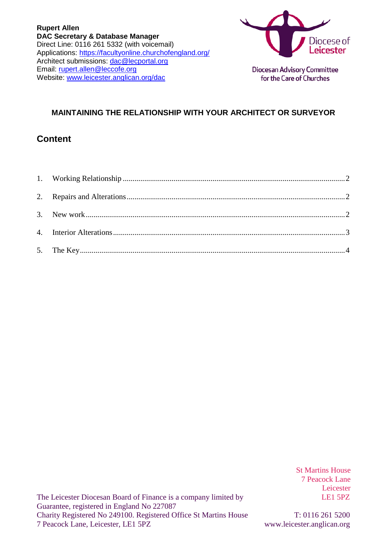

**Diocesan Advisory Committee** for the Care of Churches

### **MAINTAINING THE RELATIONSHIP WITH YOUR ARCHITECT OR SURVEYOR**

### **Content**

St Martins House 7 Peacock Lane Leicester<br>LE1 5PZ

The Leicester Diocesan Board of Finance is a company limited by Guarantee, registered in England No 227087 Charity Registered No 249100. Registered Office St Martins House T: 0116 261 5200 7 Peacock Lane, Leicester, LE1 5PZ www.leicester.anglican.org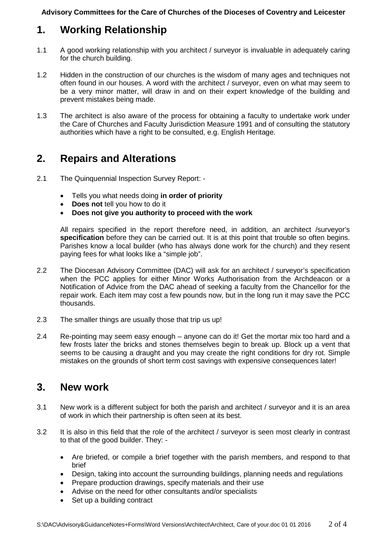**Advisory Committees for the Care of Churches of the Dioceses of Coventry and Leicester**

# <span id="page-1-0"></span>**1. Working Relationship**

- 1.1 A good working relationship with you architect / surveyor is invaluable in adequately caring for the church building.
- 1.2 Hidden in the construction of our churches is the wisdom of many ages and techniques not often found in our houses. A word with the architect / surveyor, even on what may seem to be a very minor matter, will draw in and on their expert knowledge of the building and prevent mistakes being made.
- 1.3 The architect is also aware of the process for obtaining a faculty to undertake work under the Care of Churches and Faculty Jurisdiction Measure 1991 and of consulting the statutory authorities which have a right to be consulted, e.g. English Heritage.

# <span id="page-1-1"></span>**2. Repairs and Alterations**

- 2.1 The Quinquennial Inspection Survey Report:
	- Tells you what needs doing **in order of priority**
	- **Does not** tell you how to do it
	- **Does not give you authority to proceed with the work**

All repairs specified in the report therefore need, in addition, an architect /surveyor's **specification** before they can be carried out. It is at this point that trouble so often begins. Parishes know a local builder (who has always done work for the church) and they resent paying fees for what looks like a "simple job".

- 2.2 The Diocesan Advisory Committee (DAC) will ask for an architect / surveyor's specification when the PCC applies for either Minor Works Authorisation from the Archdeacon or a Notification of Advice from the DAC ahead of seeking a faculty from the Chancellor for the repair work. Each item may cost a few pounds now, but in the long run it may save the PCC thousands.
- 2.3 The smaller things are usually those that trip us up!
- 2.4 Re-pointing may seem easy enough anyone can do it! Get the mortar mix too hard and a few frosts later the bricks and stones themselves begin to break up. Block up a vent that seems to be causing a draught and you may create the right conditions for dry rot. Simple mistakes on the grounds of short term cost savings with expensive consequences later!

## <span id="page-1-2"></span>**3. New work**

- 3.1 New work is a different subject for both the parish and architect / surveyor and it is an area of work in which their partnership is often seen at its best.
- 3.2 It is also in this field that the role of the architect / surveyor is seen most clearly in contrast to that of the good builder. They: -
	- Are briefed, or compile a brief together with the parish members, and respond to that brief
	- Design, taking into account the surrounding buildings, planning needs and regulations
	- Prepare production drawings, specify materials and their use
	- Advise on the need for other consultants and/or specialists
	- Set up a building contract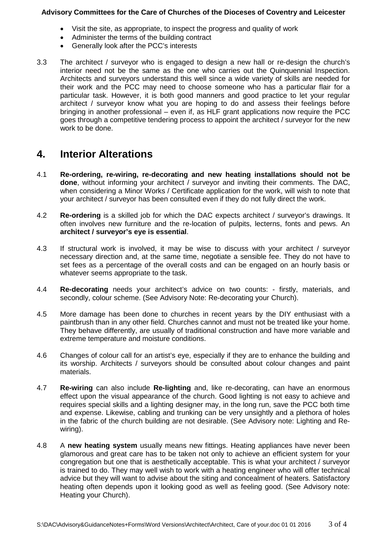#### **Advisory Committees for the Care of Churches of the Dioceses of Coventry and Leicester**

- Visit the site, as appropriate, to inspect the progress and quality of work
- Administer the terms of the building contract
- Generally look after the PCC's interests
- 3.3 The architect / surveyor who is engaged to design a new hall or re-design the church's interior need not be the same as the one who carries out the Quinquennial Inspection. Architects and surveyors understand this well since a wide variety of skills are needed for their work and the PCC may need to choose someone who has a particular flair for a particular task. However, it is both good manners and good practice to let your regular architect / surveyor know what you are hoping to do and assess their feelings before bringing in another professional – even if, as HLF grant applications now require the PCC goes through a competitive tendering process to appoint the architect / surveyor for the new work to be done.

## <span id="page-2-0"></span>**4. Interior Alterations**

- 4.1 **Re-ordering, re-wiring, re-decorating and new heating installations should not be done**, without informing your architect / surveyor and inviting their comments. The DAC, when considering a Minor Works / Certificate application for the work, will wish to note that your architect / surveyor has been consulted even if they do not fully direct the work.
- 4.2 **Re-ordering** is a skilled job for which the DAC expects architect / surveyor's drawings. It often involves new furniture and the re-location of pulpits, lecterns, fonts and pews. An **architect / surveyor's eye is essential**.
- 4.3 If structural work is involved, it may be wise to discuss with your architect / surveyor necessary direction and, at the same time, negotiate a sensible fee. They do not have to set fees as a percentage of the overall costs and can be engaged on an hourly basis or whatever seems appropriate to the task.
- 4.4 **Re-decorating** needs your architect's advice on two counts: firstly, materials, and secondly, colour scheme. (See Advisory Note: Re-decorating your Church).
- 4.5 More damage has been done to churches in recent years by the DIY enthusiast with a paintbrush than in any other field. Churches cannot and must not be treated like your home. They behave differently, are usually of traditional construction and have more variable and extreme temperature and moisture conditions.
- 4.6 Changes of colour call for an artist's eye, especially if they are to enhance the building and its worship. Architects / surveyors should be consulted about colour changes and paint materials.
- 4.7 **Re-wiring** can also include **Re-lighting** and, like re-decorating, can have an enormous effect upon the visual appearance of the church. Good lighting is not easy to achieve and requires special skills and a lighting designer may, in the long run, save the PCC both time and expense. Likewise, cabling and trunking can be very unsightly and a plethora of holes in the fabric of the church building are not desirable. (See Advisory note: Lighting and Rewiring).
- 4.8 A **new heating system** usually means new fittings. Heating appliances have never been glamorous and great care has to be taken not only to achieve an efficient system for your congregation but one that is aesthetically acceptable. This is what your architect / surveyor is trained to do. They may well wish to work with a heating engineer who will offer technical advice but they will want to advise about the siting and concealment of heaters. Satisfactory heating often depends upon it looking good as well as feeling good. (See Advisory note: Heating your Church).